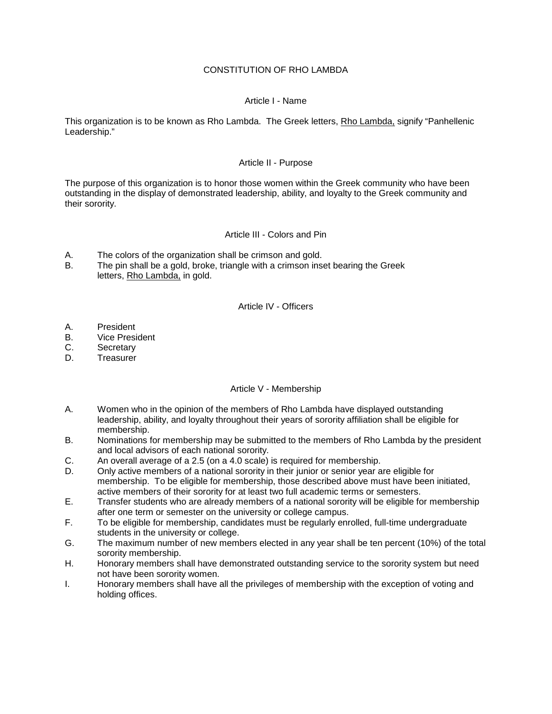## CONSTITUTION OF RHO LAMBDA

### Article I - Name

This organization is to be known as Rho Lambda. The Greek letters, Rho Lambda, signify "Panhellenic Leadership."

### Article II - Purpose

The purpose of this organization is to honor those women within the Greek community who have been outstanding in the display of demonstrated leadership, ability, and loyalty to the Greek community and their sorority.

### Article III - Colors and Pin

- A. The colors of the organization shall be crimson and gold.<br>B. The pin shall be a gold, broke, triangle with a crimson inse
- The pin shall be a gold, broke, triangle with a crimson inset bearing the Greek letters, Rho Lambda, in gold.

#### Article IV - Officers

- A. President
- B. Vice President
- C. Secretary
- D. Treasurer

#### Article V - Membership

- A. Women who in the opinion of the members of Rho Lambda have displayed outstanding leadership, ability, and loyalty throughout their years of sorority affiliation shall be eligible for membership.
- B. Nominations for membership may be submitted to the members of Rho Lambda by the president and local advisors of each national sorority.
- C. An overall average of a 2.5 (on a 4.0 scale) is required for membership.
- D. Only active members of a national sorority in their junior or senior year are eligible for membership. To be eligible for membership, those described above must have been initiated, active members of their sorority for at least two full academic terms or semesters.
- E. Transfer students who are already members of a national sorority will be eligible for membership after one term or semester on the university or college campus.
- F. To be eligible for membership, candidates must be regularly enrolled, full-time undergraduate students in the university or college.
- G. The maximum number of new members elected in any year shall be ten percent (10%) of the total sorority membership.
- H. Honorary members shall have demonstrated outstanding service to the sorority system but need not have been sorority women.
- I. Honorary members shall have all the privileges of membership with the exception of voting and holding offices.